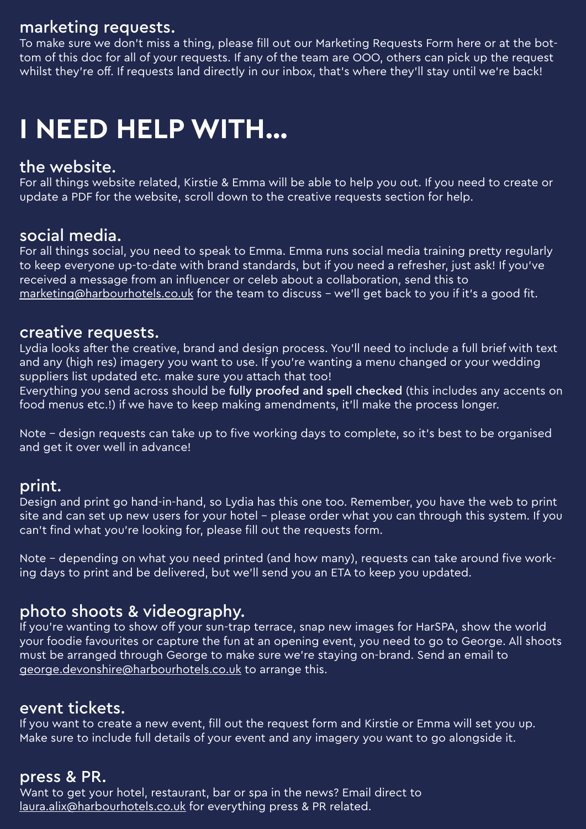## marketing requests.

To make sure we don't miss a thing, please fill out our Marketing Requests Form here or at the bottom of this doc for all of your requests. If any of the team are OOO, others can pick up the request whilst they're off. If requests land directly in our inbox, that's where they'll stay until we're back!

# **I NEED HELP WITH…**

#### the website.

For all things website related, Kirstie & Emma will be able to help you out. If you need to create or update a PDF for the website, scroll down to the creative requests section for help.

#### social media.

For all things social, you need to speak to Emma. Emma runs social media training pretty regularly to keep everyone up-to-date with brand standards, but if you need a refresher, just ask! If you've received a message from an influencer or celeb about a collaboration, send this to [marketing@harbourhotels.co.uk](mailto:marketing%40harbourhotels.co.uk?subject=) for the team to discuss - we'll get back to you if it's a good fit.

#### creative requests.

Lydia looks after the creative, brand and design process. You'll need to include a full brief with text and any (high res) imagery you want to use. If you're wanting a menu changed or your wedding suppliers list updated etc. make sure you attach that too!

Everything you send across should be fully proofed and spell checked (this includes any accents on food menus etc.!) if we have to keep making amendments, it'll make the process longer.

Note – design requests can take up to five working days to complete, so it's best to be organised and get it over well in advance!

#### print.

Design and print go hand-in-hand, so Lydia has this one too. Remember, you have the web to print site and can set up new users for your hotel - please order what you can through this system. If you can't find what you're looking for, please fill out the requests form.

Note – depending on what you need printed (and how many), requests can take around five working days to print and be delivered, but we'll send you an ETA to keep you updated.

## photo shoots & videography.

If you're wanting to show off your sun-trap terrace, snap new images for HarSPA, show the world your foodie favourites or capture the fun at an opening event, you need to go to George. All shoots must be arranged through George to make sure we're staying on-brand. Send an email to [george.devonshire@harbourhotels.co.uk](mailto:george.devonshire%40harbourhotels.co.uk?subject=) to arrange this.

#### event tickets.

If you want to create a new event, fill out the request form and Kirstie or Emma will set you up. Make sure to include full details of your event and any imagery you want to go alongside it.

#### press & PR.

Want to get your hotel, restaurant, bar or spa in the news? Email direct to [laura.alix@harbourhotels.co.uk](mailto:laura.alix%40harbourhotels.co.uk?subject=) for everything press & PR related.